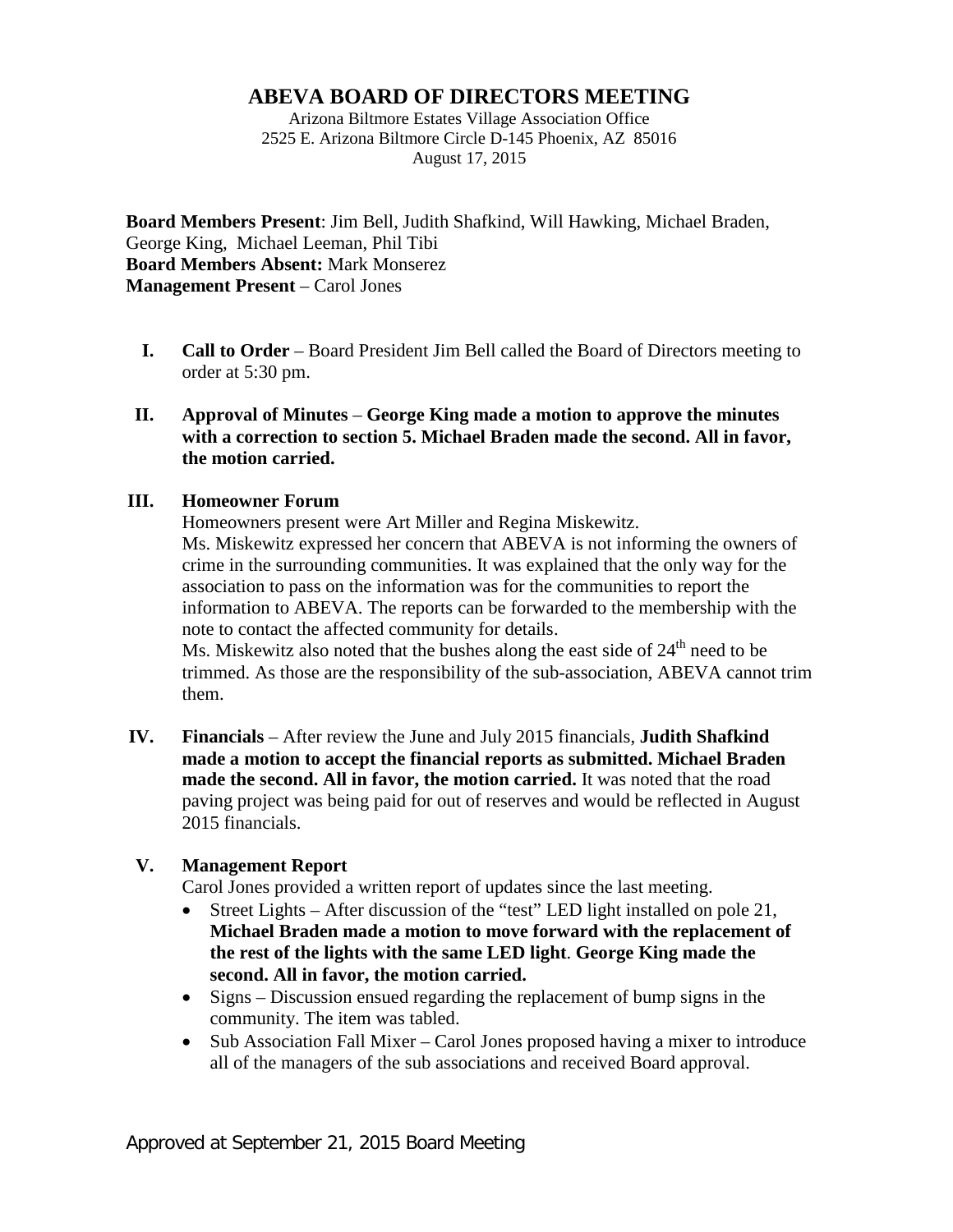# **ABEVA BOARD OF DIRECTORS MEETING**

Arizona Biltmore Estates Village Association Office 2525 E. Arizona Biltmore Circle D-145 Phoenix, AZ 85016 August 17, 2015

**Board Members Present**: Jim Bell, Judith Shafkind, Will Hawking, Michael Braden, George King, Michael Leeman, Phil Tibi **Board Members Absent:** Mark Monserez **Management Present** – Carol Jones

**I. Call to Order** – Board President Jim Bell called the Board of Directors meeting to order at 5:30 pm.

### **II. Approval of Minutes** – **George King made a motion to approve the minutes with a correction to section 5. Michael Braden made the second. All in favor, the motion carried.**

### **III. Homeowner Forum**

Homeowners present were Art Miller and Regina Miskewitz. Ms. Miskewitz expressed her concern that ABEVA is not informing the owners of crime in the surrounding communities. It was explained that the only way for the association to pass on the information was for the communities to report the information to ABEVA. The reports can be forwarded to the membership with the note to contact the affected community for details.

Ms. Miskewitz also noted that the bushes along the east side of  $24<sup>th</sup>$  need to be trimmed. As those are the responsibility of the sub-association, ABEVA cannot trim them.

**IV. Financials** – After review the June and July 2015 financials, **Judith Shafkind made a motion to accept the financial reports as submitted. Michael Braden made the second. All in favor, the motion carried.** It was noted that the road paving project was being paid for out of reserves and would be reflected in August 2015 financials.

## **V. Management Report**

Carol Jones provided a written report of updates since the last meeting.

- Street Lights After discussion of the "test" LED light installed on pole 21, **Michael Braden made a motion to move forward with the replacement of the rest of the lights with the same LED light**. **George King made the second. All in favor, the motion carried.**
- Signs Discussion ensued regarding the replacement of bump signs in the community. The item was tabled.
- Sub Association Fall Mixer Carol Jones proposed having a mixer to introduce all of the managers of the sub associations and received Board approval.